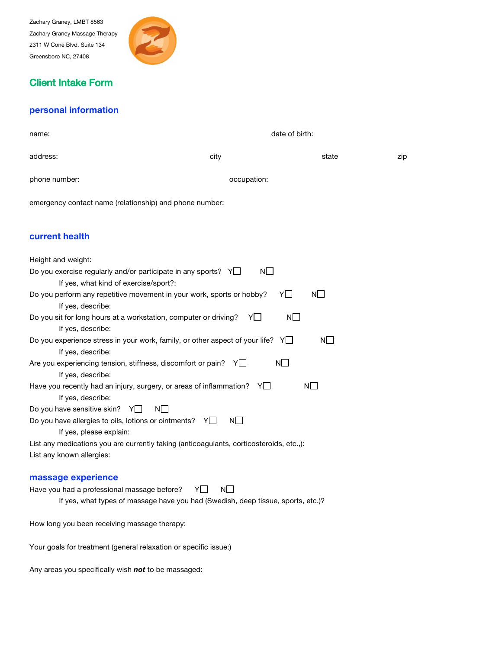Zachary Graney, LMBT 8563 Zachary Graney Massage Therapy 2311 W Cone Blvd. Suite 134 Greensboro NC, 27408



# Client Intake Form

# **personal information**

| name:                                                   | date of birth: |       |     |  |
|---------------------------------------------------------|----------------|-------|-----|--|
| address:                                                | city           | state | zip |  |
| phone number:                                           | occupation:    |       |     |  |
| emergency contact name (relationship) and phone number: |                |       |     |  |

# **current health**

| Height and weight:                                                                      |
|-----------------------------------------------------------------------------------------|
| $N \Box$<br>Do you exercise regularly and/or participate in any sports? $Y$             |
| If yes, what kind of exercise/sport?:                                                   |
| YI I<br>Do you perform any repetitive movement in your work, sports or hobby?<br>NL     |
| If yes, describe:                                                                       |
| NI I<br>Do you sit for long hours at a workstation, computer or driving?<br>YI I        |
| If yes, describe:                                                                       |
| Do you experience stress in your work, family, or other aspect of your life? $Y \Box$   |
| If yes, describe:                                                                       |
| NI I<br>Are you experiencing tension, stiffness, discomfort or pain? $Y \cup$           |
| If yes, describe:                                                                       |
| NL<br>Have you recently had an injury, surgery, or areas of inflammation? $Y \cup Y$    |
| If yes, describe:                                                                       |
| NI I<br>Do you have sensitive skin? $Y \cup$                                            |
| NI I<br>Do you have allergies to oils, lotions or ointments? $Y \cup$                   |
| If yes, please explain:                                                                 |
| List any medications you are currently taking (anticoagulants, corticosteroids, etc.,): |
| List any known allergies:                                                               |

### **massage experience**

Have you had a professional massage before?  $Y \Box \quad N \Box$ If yes, what types of massage have you had (Swedish, deep tissue, sports, etc.)?

How long you been receiving massage therapy:

Your goals for treatment (general relaxation or specific issue:)

Any areas you specifically wish *not* to be massaged: